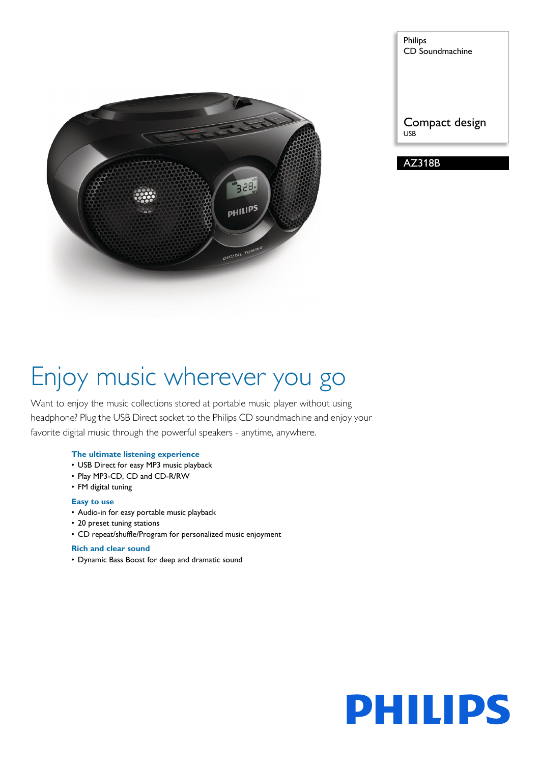

Philips CD Soundmachine

Compact design USB

AZ318B

# Enjoy music wherever you go

Want to enjoy the music collections stored at portable music player without using headphone? Plug the USB Direct socket to the Philips CD soundmachine and enjoy your favorite digital music through the powerful speakers - anytime, anywhere.

## **The ultimate listening experience**

- USB Direct for easy MP3 music playback
- Play MP3-CD, CD and CD-R/RW
- FM digital tuning

### **Easy to use**

- Audio-in for easy portable music playback
- 20 preset tuning stations
- CD repeat/shuffle/Program for personalized music enjoyment

#### **Rich and clear sound**

• Dynamic Bass Boost for deep and dramatic sound